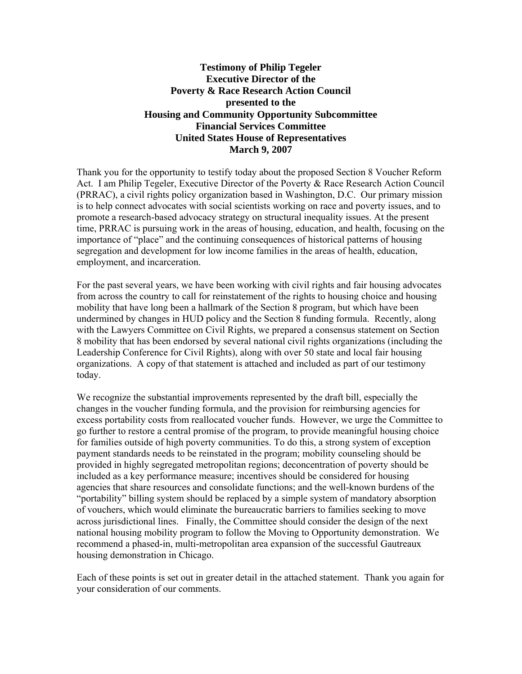### **Testimony of Philip Tegeler Executive Director of the Poverty & Race Research Action Council presented to the Housing and Community Opportunity Subcommittee Financial Services Committee United States House of Representatives March 9, 2007**

Thank you for the opportunity to testify today about the proposed Section 8 Voucher Reform Act. I am Philip Tegeler, Executive Director of the Poverty & Race Research Action Council (PRRAC), a civil rights policy organization based in Washington, D.C. Our primary mission is to help connect advocates with social scientists working on race and poverty issues, and to promote a research-based advocacy strategy on structural inequality issues. At the present time, PRRAC is pursuing work in the areas of housing, education, and health, focusing on the importance of "place" and the continuing consequences of historical patterns of housing segregation and development for low income families in the areas of health, education, employment, and incarceration.

For the past several years, we have been working with civil rights and fair housing advocates from across the country to call for reinstatement of the rights to housing choice and housing mobility that have long been a hallmark of the Section 8 program, but which have been undermined by changes in HUD policy and the Section 8 funding formula. Recently, along with the Lawyers Committee on Civil Rights, we prepared a consensus statement on Section 8 mobility that has been endorsed by several national civil rights organizations (including the Leadership Conference for Civil Rights), along with over 50 state and local fair housing organizations. A copy of that statement is attached and included as part of our testimony today.

We recognize the substantial improvements represented by the draft bill, especially the changes in the voucher funding formula, and the provision for reimbursing agencies for excess portability costs from reallocated voucher funds. However, we urge the Committee to go further to restore a central promise of the program, to provide meaningful housing choice for families outside of high poverty communities. To do this, a strong system of exception payment standards needs to be reinstated in the program; mobility counseling should be provided in highly segregated metropolitan regions; deconcentration of poverty should be included as a key performance measure; incentives should be considered for housing agencies that share resources and consolidate functions; and the well-known burdens of the "portability" billing system should be replaced by a simple system of mandatory absorption of vouchers, which would eliminate the bureaucratic barriers to families seeking to move across jurisdictional lines. Finally, the Committee should consider the design of the next national housing mobility program to follow the Moving to Opportunity demonstration. We recommend a phased-in, multi-metropolitan area expansion of the successful Gautreaux housing demonstration in Chicago.

Each of these points is set out in greater detail in the attached statement. Thank you again for your consideration of our comments.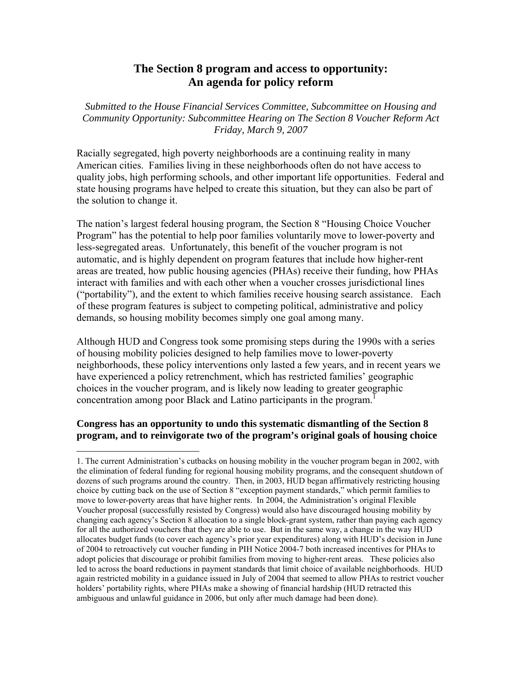# **The Section 8 program and access to opportunity: An agenda for policy reform**

*Submitted to the House Financial Services Committee, Subcommittee on Housing and Community Opportunity: Subcommittee Hearing on The Section 8 Voucher Reform Act Friday, March 9, 2007* 

Racially segregated, high poverty neighborhoods are a continuing reality in many American cities. Families living in these neighborhoods often do not have access to quality jobs, high performing schools, and other important life opportunities. Federal and state housing programs have helped to create this situation, but they can also be part of the solution to change it.

The nation's largest federal housing program, the Section 8 "Housing Choice Voucher Program" has the potential to help poor families voluntarily move to lower-poverty and less-segregated areas. Unfortunately, this benefit of the voucher program is not automatic, and is highly dependent on program features that include how higher-rent areas are treated, how public housing agencies (PHAs) receive their funding, how PHAs interact with families and with each other when a voucher crosses jurisdictional lines ("portability"), and the extent to which families receive housing search assistance. Each of these program features is subject to competing political, administrative and policy demands, so housing mobility becomes simply one goal among many.

Although HUD and Congress took some promising steps during the 1990s with a series of housing mobility policies designed to help families move to lower-poverty neighborhoods, these policy interventions only lasted a few years, and in recent years we have experienced a policy retrenchment, which has restricted families' geographic choices in the voucher program, and is likely now leading to greater geographic concentration among poor Black and Latino participants in the program.<sup>1</sup>

## **Congress has an opportunity to undo this systematic dismantling of the Section 8 program, and to reinvigorate two of the program's original goals of housing choice**

 $\overline{a}$ 

<sup>1.</sup> The current Administration's cutbacks on housing mobility in the voucher program began in 2002, with the elimination of federal funding for regional housing mobility programs, and the consequent shutdown of dozens of such programs around the country. Then, in 2003, HUD began affirmatively restricting housing choice by cutting back on the use of Section 8 "exception payment standards," which permit families to move to lower-poverty areas that have higher rents. In 2004, the Administration's original Flexible Voucher proposal (successfully resisted by Congress) would also have discouraged housing mobility by changing each agency's Section 8 allocation to a single block-grant system, rather than paying each agency for all the authorized vouchers that they are able to use. But in the same way, a change in the way HUD allocates budget funds (to cover each agency's prior year expenditures) along with HUD's decision in June of 2004 to retroactively cut voucher funding in PIH Notice 2004-7 both increased incentives for PHAs to adopt policies that discourage or prohibit families from moving to higher-rent areas. These policies also led to across the board reductions in payment standards that limit choice of available neighborhoods. HUD again restricted mobility in a guidance issued in July of 2004 that seemed to allow PHAs to restrict voucher holders' portability rights, where PHAs make a showing of financial hardship (HUD retracted this ambiguous and unlawful guidance in 2006, but only after much damage had been done).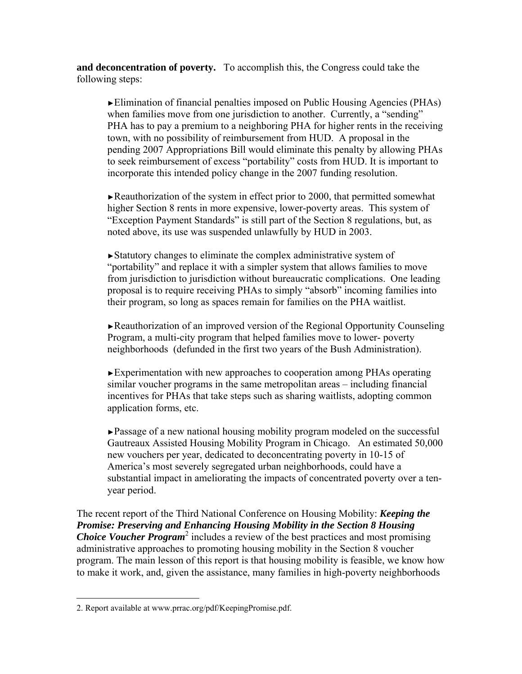**and deconcentration of poverty.** To accomplish this, the Congress could take the following steps:

►Elimination of financial penalties imposed on Public Housing Agencies (PHAs) when families move from one jurisdiction to another. Currently, a "sending" PHA has to pay a premium to a neighboring PHA for higher rents in the receiving town, with no possibility of reimbursement from HUD. A proposal in the pending 2007 Appropriations Bill would eliminate this penalty by allowing PHAs to seek reimbursement of excess "portability" costs from HUD. It is important to incorporate this intended policy change in the 2007 funding resolution.

►Reauthorization of the system in effect prior to 2000, that permitted somewhat higher Section 8 rents in more expensive, lower-poverty areas. This system of "Exception Payment Standards" is still part of the Section 8 regulations, but, as noted above, its use was suspended unlawfully by HUD in 2003.

►Statutory changes to eliminate the complex administrative system of "portability" and replace it with a simpler system that allows families to move from jurisdiction to jurisdiction without bureaucratic complications. One leading proposal is to require receiving PHAs to simply "absorb" incoming families into their program, so long as spaces remain for families on the PHA waitlist.

►Reauthorization of an improved version of the Regional Opportunity Counseling Program, a multi-city program that helped families move to lower- poverty neighborhoods (defunded in the first two years of the Bush Administration).

►Experimentation with new approaches to cooperation among PHAs operating similar voucher programs in the same metropolitan areas – including financial incentives for PHAs that take steps such as sharing waitlists, adopting common application forms, etc.

►Passage of a new national housing mobility program modeled on the successful Gautreaux Assisted Housing Mobility Program in Chicago. An estimated 50,000 new vouchers per year, dedicated to deconcentrating poverty in 10-15 of America's most severely segregated urban neighborhoods, could have a substantial impact in ameliorating the impacts of concentrated poverty over a tenyear period.

The recent report of the Third National Conference on Housing Mobility: *Keeping the Promise: Preserving and Enhancing Housing Mobility in the Section 8 Housing Choice Voucher Program<sup>2</sup>* includes a review of the best practices and most promising administrative approaches to promoting housing mobility in the Section 8 voucher program. The main lesson of this report is that housing mobility is feasible, we know how to make it work, and, given the assistance, many families in high-poverty neighborhoods

<u>.</u>

<sup>2.</sup> Report available at www.prrac.org/pdf/KeepingPromise.pdf.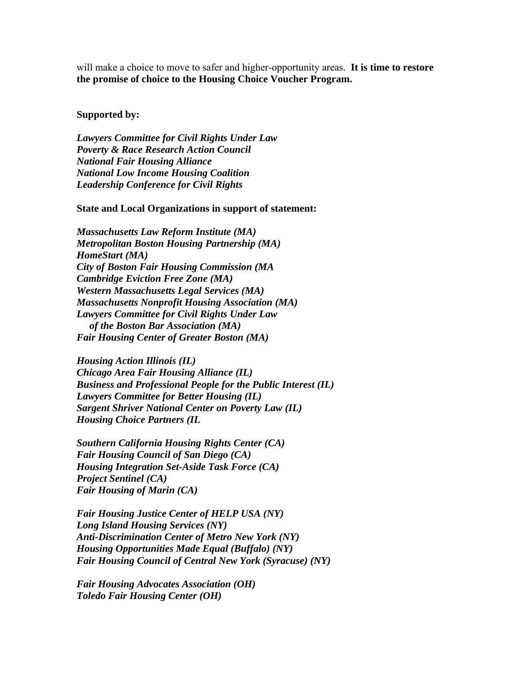will make a choice to move to safer and higher-opportunity areas. **It is time to restore the promise of choice to the Housing Choice Voucher Program.** 

### **Supported by:**

*Lawyers Committee for Civil Rights Under Law Poverty & Race Research Action Council National Fair Housing Alliance National Low Income Housing Coalition Leadership Conference for Civil Rights* 

### **State and Local Organizations in support of statement:**

*Massachusetts Law Reform Institute (MA) Metropolitan Boston Housing Partnership (MA) HomeStart (MA) City of Boston Fair Housing Commission (MA Cambridge Eviction Free Zone (MA) Western Massachusetts Legal Services (MA) Massachusetts Nonprofit Housing Association (MA) Lawyers Committee for Civil Rights Under Law of the Boston Bar Association (MA) Fair Housing Center of Greater Boston (MA)* 

*Housing Action Illinois (IL) Chicago Area Fair Housing Alliance (IL) Business and Professional People for the Public Interest (IL) Lawyers Committee for Better Housing (IL) Sargent Shriver National Center on Poverty Law (IL) Housing Choice Partners (IL* 

*Southern California Housing Rights Center (CA) Fair Housing Council of San Diego (CA) Housing Integration Set-Aside Task Force (CA) Project Sentinel (CA) Fair Housing of Marin (CA)* 

*Fair Housing Justice Center of HELP USA (NY) Long Island Housing Services (NY) Anti-Discrimination Center of Metro New York (NY) Housing Opportunities Made Equal (Buffalo) (NY) Fair Housing Council of Central New York (Syracuse) (NY)* 

*Fair Housing Advocates Association (OH) Toledo Fair Housing Center (OH)*